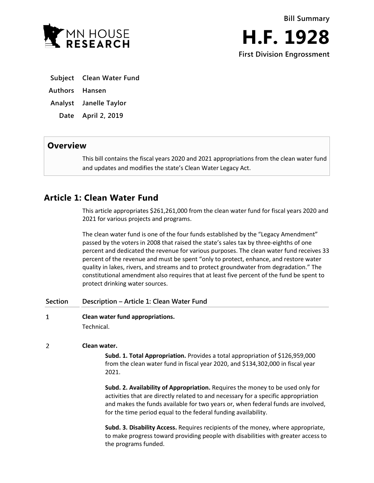

**First Division Engrossment**

- **Subject Clean Water Fund**
- **Authors Hansen**
- **Analyst Janelle Taylor**
- **Date April 2, 2019**

# **Overview**

This bill contains the fiscal years 2020 and 2021 appropriations from the clean water fund and updates and modifies the state's Clean Water Legacy Act.

# **Article 1: Clean Water Fund**

This article appropriates \$261,261,000 from the clean water fund for fiscal years 2020 and 2021 for various projects and programs.

The clean water fund is one of the four funds established by the "Legacy Amendment" passed by the voters in 2008 that raised the state's sales tax by three-eighths of one percent and dedicated the revenue for various purposes. The clean water fund receives 33 percent of the revenue and must be spent "only to protect, enhance, and restore water quality in lakes, rivers, and streams and to protect groundwater from degradation." The constitutional amendment also requires that at least five percent of the fund be spent to protect drinking water sources.

- **Section Description – Article 1: Clean Water Fund**
- $\mathbf{1}$ **Clean water fund appropriations.**

Technical.

# $\overline{2}$ **Clean water.**

**Subd. 1. Total Appropriation.** Provides a total appropriation of \$126,959,000 from the clean water fund in fiscal year 2020, and \$134,302,000 in fiscal year 2021.

**Subd. 2. Availability of Appropriation.** Requires the money to be used only for activities that are directly related to and necessary for a specific appropriation and makes the funds available for two years or, when federal funds are involved, for the time period equal to the federal funding availability.

**Subd. 3. Disability Access.** Requires recipients of the money, where appropriate, to make progress toward providing people with disabilities with greater access to the programs funded.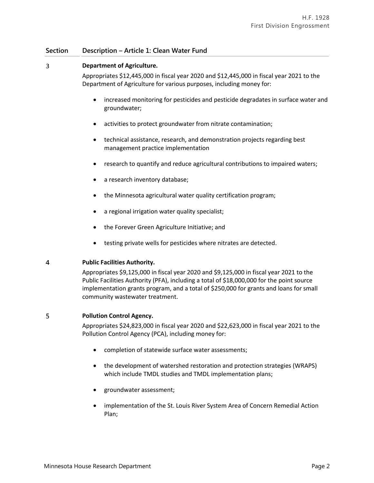### $\overline{3}$ **Department of Agriculture.**

Appropriates \$12,445,000 in fiscal year 2020 and \$12,445,000 in fiscal year 2021 to the Department of Agriculture for various purposes, including money for:

- increased monitoring for pesticides and pesticide degradates in surface water and groundwater;
- activities to protect groundwater from nitrate contamination;
- technical assistance, research, and demonstration projects regarding best management practice implementation
- research to quantify and reduce agricultural contributions to impaired waters;
- a research inventory database;
- the Minnesota agricultural water quality certification program;
- a regional irrigation water quality specialist;
- the Forever Green Agriculture Initiative; and
- testing private wells for pesticides where nitrates are detected.

#### $\overline{4}$ **Public Facilities Authority.**

Appropriates \$9,125,000 in fiscal year 2020 and \$9,125,000 in fiscal year 2021 to the Public Facilities Authority (PFA), including a total of \$18,000,000 for the point source implementation grants program, and a total of \$250,000 for grants and loans for small community wastewater treatment.

#### 5 **Pollution Control Agency.**

Appropriates \$24,823,000 in fiscal year 2020 and \$22,623,000 in fiscal year 2021 to the Pollution Control Agency (PCA), including money for:

- completion of statewide surface water assessments;
- the development of watershed restoration and protection strategies (WRAPS) which include TMDL studies and TMDL implementation plans;
- groundwater assessment;
- implementation of the St. Louis River System Area of Concern Remedial Action Plan;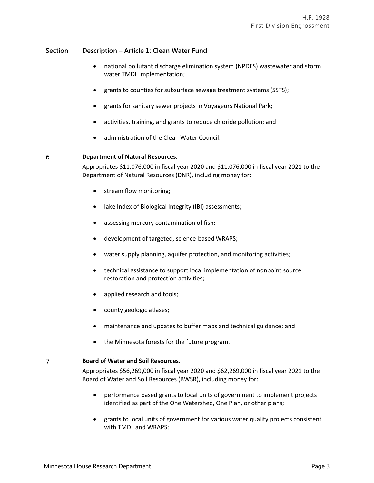- national pollutant discharge elimination system (NPDES) wastewater and storm water TMDL implementation;
- grants to counties for subsurface sewage treatment systems (SSTS);
- grants for sanitary sewer projects in Voyageurs National Park;
- activities, training, and grants to reduce chloride pollution; and
- administration of the Clean Water Council.

#### 6 **Department of Natural Resources.**

Appropriates \$11,076,000 in fiscal year 2020 and \$11,076,000 in fiscal year 2021 to the Department of Natural Resources (DNR), including money for:

- stream flow monitoring;
- lake Index of Biological Integrity (IBI) assessments;
- assessing mercury contamination of fish;
- development of targeted, science-based WRAPS;
- water supply planning, aquifer protection, and monitoring activities;
- technical assistance to support local implementation of nonpoint source restoration and protection activities;
- applied research and tools;
- county geologic atlases;
- maintenance and updates to buffer maps and technical guidance; and
- the Minnesota forests for the future program.

#### 7 **Board of Water and Soil Resources.**

Appropriates \$56,269,000 in fiscal year 2020 and \$62,269,000 in fiscal year 2021 to the Board of Water and Soil Resources (BWSR), including money for:

- performance based grants to local units of government to implement projects identified as part of the One Watershed, One Plan, or other plans;
- grants to local units of government for various water quality projects consistent with TMDL and WRAPS;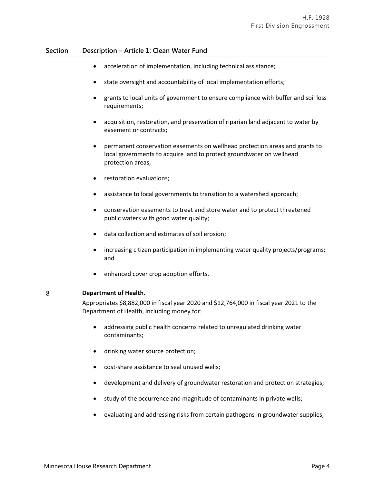- acceleration of implementation, including technical assistance;
- state oversight and accountability of local implementation efforts;
- grants to local units of government to ensure compliance with buffer and soil loss requirements;
- acquisition, restoration, and preservation of riparian land adjacent to water by easement or contracts;
- permanent conservation easements on wellhead protection areas and grants to local governments to acquire land to protect groundwater on wellhead protection areas;
- **•** restoration evaluations;
- assistance to local governments to transition to a watershed approach;
- conservation easements to treat and store water and to protect threatened public waters with good water quality;
- data collection and estimates of soil erosion;
- increasing citizen participation in implementing water quality projects/programs; and
- enhanced cover crop adoption efforts.

#### 8 **Department of Health.**

Appropriates \$8,882,000 in fiscal year 2020 and \$12,764,000 in fiscal year 2021 to the Department of Health, including money for:

- addressing public health concerns related to unregulated drinking water contaminants;
- drinking water source protection;
- cost-share assistance to seal unused wells;
- development and delivery of groundwater restoration and protection strategies;
- study of the occurrence and magnitude of contaminants in private wells;
- evaluating and addressing risks from certain pathogens in groundwater supplies;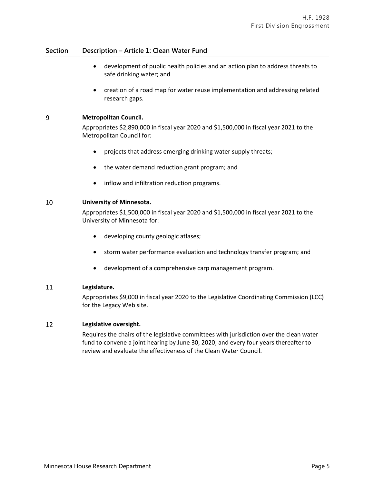- development of public health policies and an action plan to address threats to safe drinking water; and
- creation of a road map for water reuse implementation and addressing related research gaps.

#### $\overline{9}$ **Metropolitan Council.**

Appropriates \$2,890,000 in fiscal year 2020 and \$1,500,000 in fiscal year 2021 to the Metropolitan Council for:

- projects that address emerging drinking water supply threats;
- the water demand reduction grant program; and
- inflow and infiltration reduction programs.

#### 10 **University of Minnesota.**

Appropriates \$1,500,000 in fiscal year 2020 and \$1,500,000 in fiscal year 2021 to the University of Minnesota for:

- developing county geologic atlases;
- storm water performance evaluation and technology transfer program; and
- development of a comprehensive carp management program.

#### 11 **Legislature.**

Appropriates \$9,000 in fiscal year 2020 to the Legislative Coordinating Commission (LCC) for the Legacy Web site.

#### 12 **Legislative oversight.**

Requires the chairs of the legislative committees with jurisdiction over the clean water fund to convene a joint hearing by June 30, 2020, and every four years thereafter to review and evaluate the effectiveness of the Clean Water Council.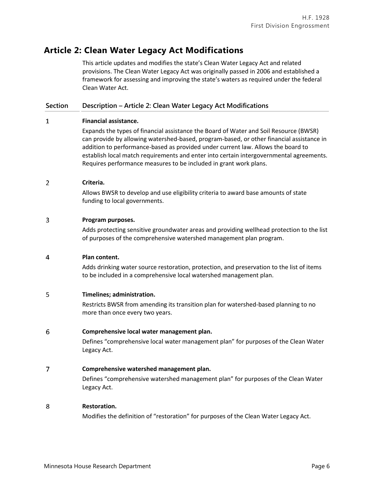# **Article 2: Clean Water Legacy Act Modifications**

This article updates and modifies the state's Clean Water Legacy Act and related provisions. The Clean Water Legacy Act was originally passed in 2006 and established a framework for assessing and improving the state's waters as required under the federal Clean Water Act.

# **Section Description – Article 2: Clean Water Legacy Act Modifications**

#### $\mathbf{1}$ **Financial assistance.**

Expands the types of financial assistance the Board of Water and Soil Resource (BWSR) can provide by allowing watershed-based, program-based, or other financial assistance in addition to performance-based as provided under current law. Allows the board to establish local match requirements and enter into certain intergovernmental agreements. Requires performance measures to be included in grant work plans.

### $\overline{2}$ **Criteria.**

Allows BWSR to develop and use eligibility criteria to award base amounts of state funding to local governments.

### $\overline{3}$ **Program purposes.**

Adds protecting sensitive groundwater areas and providing wellhead protection to the list of purposes of the comprehensive watershed management plan program.

#### 4 **Plan content.**

Adds drinking water source restoration, protection, and preservation to the list of items to be included in a comprehensive local watershed management plan.

#### 5 **Timelines; administration.**

Restricts BWSR from amending its transition plan for watershed-based planning to no more than once every two years.

#### 6 **Comprehensive local water management plan.**

Defines "comprehensive local water management plan" for purposes of the Clean Water Legacy Act.

## $\overline{7}$ **Comprehensive watershed management plan.**

Defines "comprehensive watershed management plan" for purposes of the Clean Water Legacy Act.

#### 8 **Restoration.**

Modifies the definition of "restoration" for purposes of the Clean Water Legacy Act.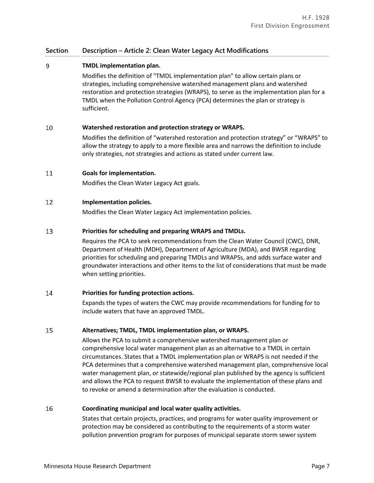# **Section Description – Article 2: Clean Water Legacy Act Modifications**

### 9 **TMDL implementation plan.**

Modifies the definition of "TMDL implementation plan" to allow certain plans or strategies, including comprehensive watershed management plans and watershed restoration and protection strategies (WRAPS), to serve as the implementation plan for a TMDL when the Pollution Control Agency (PCA) determines the plan or strategy is sufficient.

### 10 **Watershed restoration and protection strategy or WRAPS.**

Modifies the definition of "watershed restoration and protection strategy" or "WRAPS" to allow the strategy to apply to a more flexible area and narrows the definition to include only strategies, not strategies and actions as stated under current law.

### 11 **Goals for implementation.**

Modifies the Clean Water Legacy Act goals.

#### 12 **Implementation policies.**

Modifies the Clean Water Legacy Act implementation policies.

### 13 **Priorities for scheduling and preparing WRAPS and TMDLs.**

Requires the PCA to seek recommendations from the Clean Water Council (CWC), DNR, Department of Health (MDH), Department of Agriculture (MDA), and BWSR regarding priorities for scheduling and preparing TMDLs and WRAPSs, and adds surface water and groundwater interactions and other items to the list of considerations that must be made when setting priorities.

#### 14 **Priorities for funding protection actions.**

Expands the types of waters the CWC may provide recommendations for funding for to include waters that have an approved TMDL.

## **Alternatives; TMDL, TMDL implementation plan, or WRAPS.** 15

Allows the PCA to submit a comprehensive watershed management plan or comprehensive local water management plan as an alternative to a TMDL in certain circumstances. States that a TMDL implementation plan or WRAPS is not needed if the PCA determines that a comprehensive watershed management plan, comprehensive local water management plan, or statewide/regional plan published by the agency is sufficient and allows the PCA to request BWSR to evaluate the implementation of these plans and to revoke or amend a determination after the evaluation is conducted.

## 16 **Coordinating municipal and local water quality activities.**

States that certain projects, practices, and programs for water quality improvement or protection may be considered as contributing to the requirements of a storm water pollution prevention program for purposes of municipal separate storm sewer system